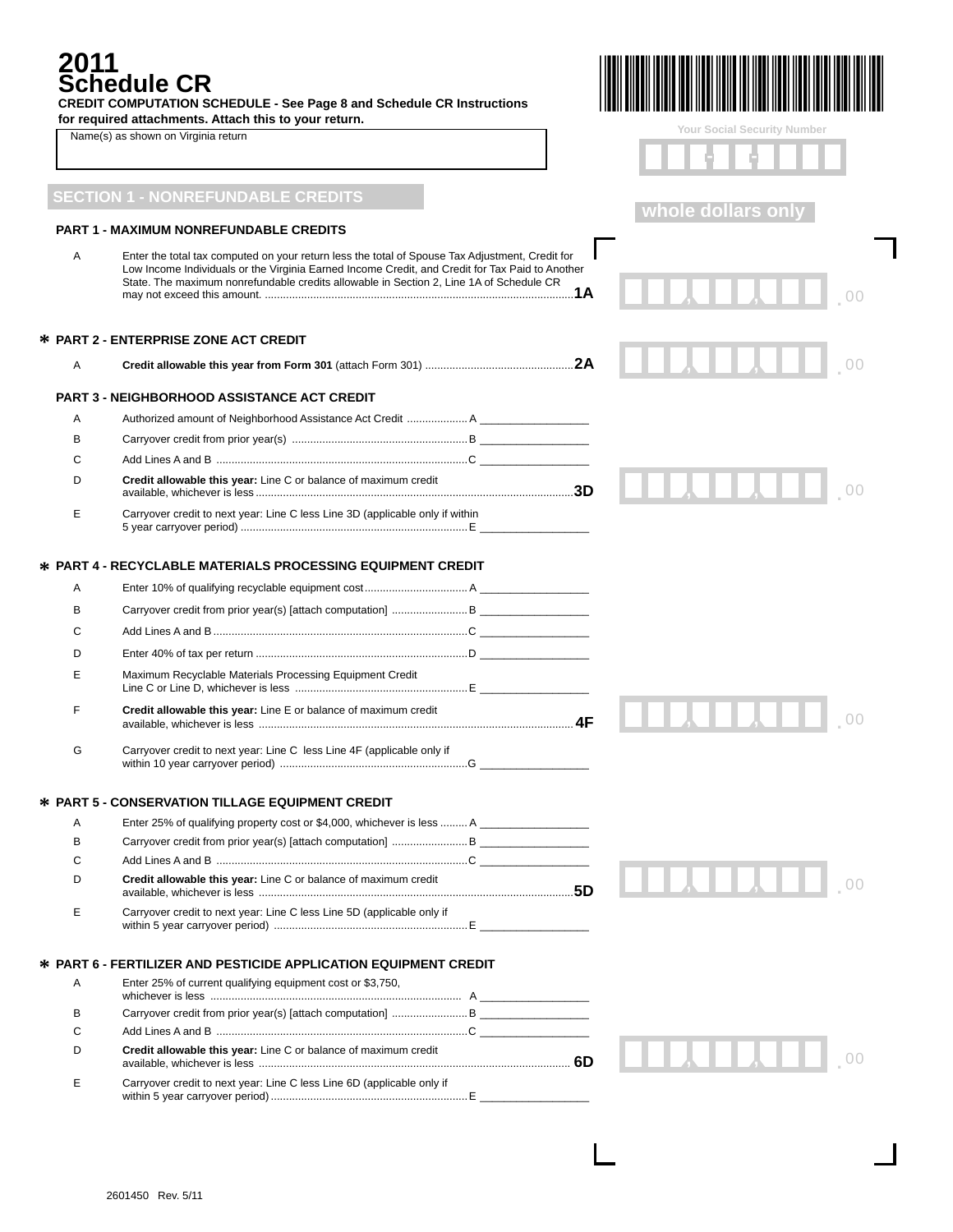# **2011 Schedule CR**

| 2011 | <b>Schedule CR</b><br><b>CREDIT COMPUTATION SCHEDULE - See Page 8 and Schedule CR Instructions</b>                                                                                                                                                                                            |                             |
|------|-----------------------------------------------------------------------------------------------------------------------------------------------------------------------------------------------------------------------------------------------------------------------------------------------|-----------------------------|
|      | for required attachments. Attach this to your return.<br>Name(s) as shown on Virginia return                                                                                                                                                                                                  | Your Social Security Number |
|      |                                                                                                                                                                                                                                                                                               |                             |
|      | <b>SECTION 1 - NONREFUNDABLE CREDITS</b>                                                                                                                                                                                                                                                      | whole dollars only          |
|      | <b>PART 1 - MAXIMUM NONREFUNDABLE CREDITS</b>                                                                                                                                                                                                                                                 |                             |
| A    | Enter the total tax computed on your return less the total of Spouse Tax Adjustment, Credit for<br>Low Income Individuals or the Virginia Earned Income Credit, and Credit for Tax Paid to Another<br>State. The maximum nonrefundable credits allowable in Section 2, Line 1A of Schedule CR |                             |
|      | <b>* PART 2 - ENTERPRISE ZONE ACT CREDIT</b>                                                                                                                                                                                                                                                  |                             |
| Α    |                                                                                                                                                                                                                                                                                               |                             |
|      | <b>PART 3 - NEIGHBORHOOD ASSISTANCE ACT CREDIT</b>                                                                                                                                                                                                                                            |                             |
| A    |                                                                                                                                                                                                                                                                                               |                             |
| в    |                                                                                                                                                                                                                                                                                               |                             |
| С    |                                                                                                                                                                                                                                                                                               |                             |
| D    | Credit allowable this year: Line C or balance of maximum credit                                                                                                                                                                                                                               |                             |
| Е    | Carryover credit to next year: Line C less Line 3D (applicable only if within                                                                                                                                                                                                                 |                             |
|      |                                                                                                                                                                                                                                                                                               |                             |
|      | <b>* PART 4 - RECYCLABLE MATERIALS PROCESSING EQUIPMENT CREDIT</b>                                                                                                                                                                                                                            |                             |
| Α    |                                                                                                                                                                                                                                                                                               |                             |
| в    |                                                                                                                                                                                                                                                                                               |                             |
| С    |                                                                                                                                                                                                                                                                                               |                             |
| D    |                                                                                                                                                                                                                                                                                               |                             |
| E    | Maximum Recyclable Materials Processing Equipment Credit                                                                                                                                                                                                                                      |                             |
| F    | Credit allowable this year: Line E or balance of maximum credit                                                                                                                                                                                                                               |                             |
|      | Carryover credit to next year: Line C less Line 4F (applicable only if                                                                                                                                                                                                                        |                             |
|      | <b>* PART 5 - CONSERVATION TILLAGE EQUIPMENT CREDIT</b>                                                                                                                                                                                                                                       |                             |
| Α    | Enter 25% of qualifying property cost or \$4,000, whichever is less  A                                                                                                                                                                                                                        |                             |
| в    |                                                                                                                                                                                                                                                                                               |                             |
| С    |                                                                                                                                                                                                                                                                                               |                             |
| D    | Credit allowable this year: Line C or balance of maximum credit                                                                                                                                                                                                                               | 11111111<br>00              |
| Е    | Carryover credit to next year: Line C less Line 5D (applicable only if                                                                                                                                                                                                                        |                             |
|      | <b>* PART 6 - FERTILIZER AND PESTICIDE APPLICATION EQUIPMENT CREDIT</b>                                                                                                                                                                                                                       |                             |
| Α    | Enter 25% of current qualifying equipment cost or \$3,750,                                                                                                                                                                                                                                    |                             |
| В    |                                                                                                                                                                                                                                                                                               |                             |
| С    |                                                                                                                                                                                                                                                                                               |                             |
| D    | Credit allowable this year: Line C or balance of maximum credit                                                                                                                                                                                                                               |                             |
| Е    | Carryover credit to next year: Line C less Line 6D (applicable only if                                                                                                                                                                                                                        |                             |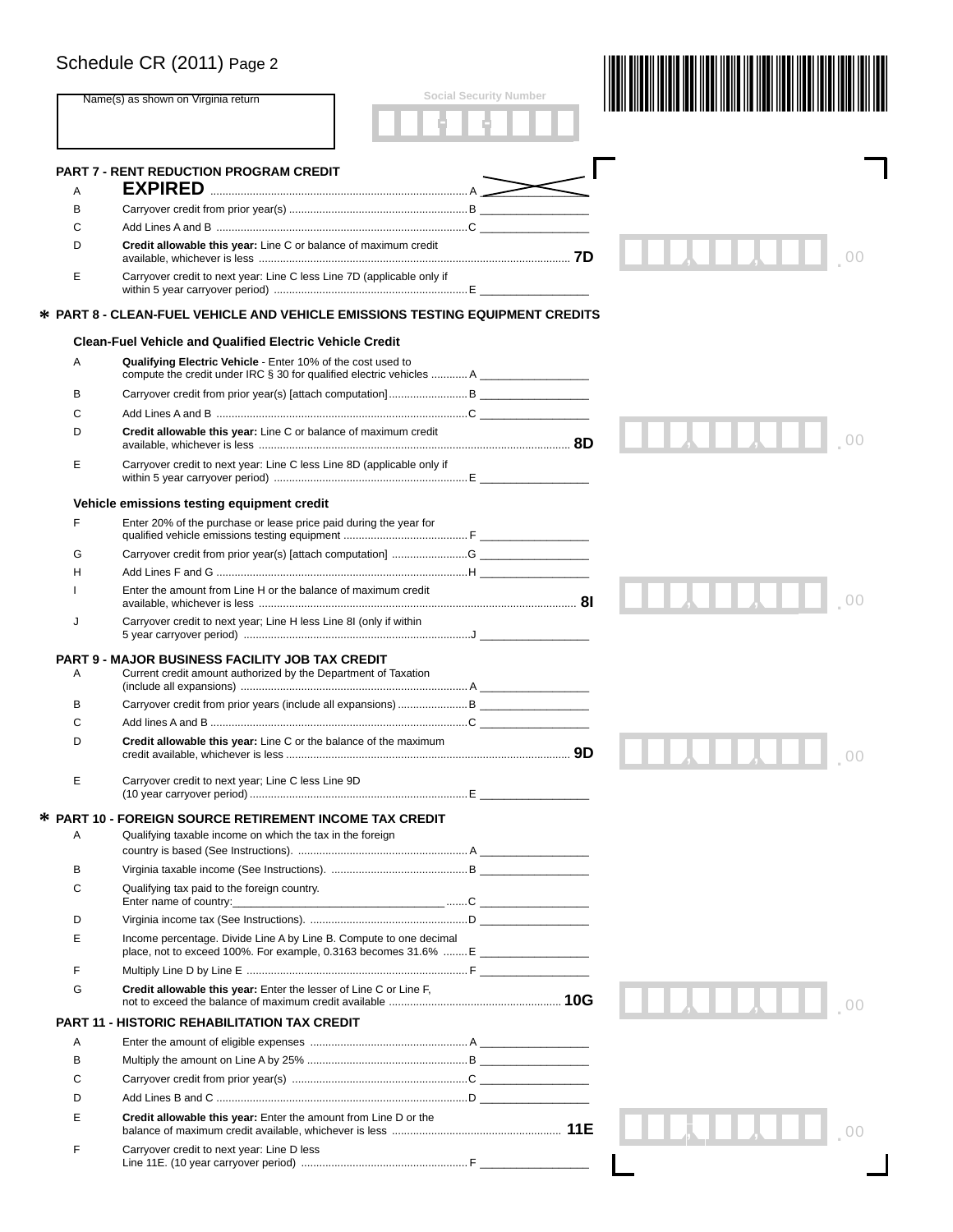|   | Schedule CR (2011) Page 2                                                                                                                                                                                                                                                    |                               |        |
|---|------------------------------------------------------------------------------------------------------------------------------------------------------------------------------------------------------------------------------------------------------------------------------|-------------------------------|--------|
|   | Name(s) as shown on Virginia return                                                                                                                                                                                                                                          | <b>Social Security Number</b> |        |
|   | <b>PART 7 - RENT REDUCTION PROGRAM CREDIT</b>                                                                                                                                                                                                                                |                               |        |
| A |                                                                                                                                                                                                                                                                              |                               |        |
| В |                                                                                                                                                                                                                                                                              |                               |        |
| С |                                                                                                                                                                                                                                                                              |                               |        |
| D | Credit allowable this year: Line C or balance of maximum credit                                                                                                                                                                                                              |                               |        |
| E | Carryover credit to next year: Line C less Line 7D (applicable only if                                                                                                                                                                                                       |                               |        |
|   | * PART 8 - CLEAN-FUEL VEHICLE AND VEHICLE EMISSIONS TESTING EQUIPMENT CREDITS                                                                                                                                                                                                |                               |        |
|   | <b>Clean-Fuel Vehicle and Qualified Electric Vehicle Credit</b>                                                                                                                                                                                                              |                               |        |
| Α | Qualifying Electric Vehicle - Enter 10% of the cost used to<br>compute the credit under IRC $\S$ 30 for qualified electric vehicles  A                                                                                                                                       |                               |        |
| в |                                                                                                                                                                                                                                                                              |                               |        |
| С |                                                                                                                                                                                                                                                                              |                               |        |
| D | Credit allowable this year: Line C or balance of maximum credit                                                                                                                                                                                                              |                               |        |
| E | Carryover credit to next year: Line C less Line 8D (applicable only if                                                                                                                                                                                                       |                               |        |
|   | Vehicle emissions testing equipment credit                                                                                                                                                                                                                                   |                               |        |
| F | Enter 20% of the purchase or lease price paid during the year for                                                                                                                                                                                                            |                               |        |
| G | Carryover credit from prior year(s) [attach computation] G                                                                                                                                                                                                                   |                               |        |
| н |                                                                                                                                                                                                                                                                              |                               |        |
|   | Enter the amount from Line H or the balance of maximum credit                                                                                                                                                                                                                |                               |        |
| J | Carryover credit to next year; Line H less Line 8I (only if within                                                                                                                                                                                                           |                               |        |
| Α | <b>PART 9 - MAJOR BUSINESS FACILITY JOB TAX CREDIT</b><br>Current credit amount authorized by the Department of Taxation                                                                                                                                                     |                               |        |
| в |                                                                                                                                                                                                                                                                              |                               |        |
| C |                                                                                                                                                                                                                                                                              |                               |        |
| D | Credit allowable this year: Line C or the balance of the maximum                                                                                                                                                                                                             | 9D                            | $\cap$ |
| Е | Carryover credit to next year; Line C less Line 9D                                                                                                                                                                                                                           |                               |        |
|   | * PART 10 - FOREIGN SOURCE RETIREMENT INCOME TAX CREDIT                                                                                                                                                                                                                      |                               |        |
| Α | Qualifying taxable income on which the tax in the foreign                                                                                                                                                                                                                    |                               |        |
| В |                                                                                                                                                                                                                                                                              |                               |        |
| C | Qualifying tax paid to the foreign country.<br>Enter name of country: the control of the control of the control of the control of the control of the control of the control of the control of the control of the control of the control of the control of the control of the |                               |        |
| D |                                                                                                                                                                                                                                                                              |                               |        |
| Е | Income percentage. Divide Line A by Line B. Compute to one decimal                                                                                                                                                                                                           |                               |        |
|   | place, not to exceed 100%. For example, $0.3163$ becomes $31.6\%$ E                                                                                                                                                                                                          |                               |        |
| F |                                                                                                                                                                                                                                                                              |                               |        |
| G | Credit allowable this year: Enter the lesser of Line C or Line F,                                                                                                                                                                                                            |                               |        |
|   | <b>PART 11 - HISTORIC REHABILITATION TAX CREDIT</b>                                                                                                                                                                                                                          |                               |        |
| Α |                                                                                                                                                                                                                                                                              |                               |        |
| В |                                                                                                                                                                                                                                                                              |                               |        |
| С |                                                                                                                                                                                                                                                                              |                               |        |
| D |                                                                                                                                                                                                                                                                              |                               |        |
| E | Credit allowable this year: Enter the amount from Line D or the                                                                                                                                                                                                              |                               |        |
| F | Carryover credit to next year: Line D less                                                                                                                                                                                                                                   |                               |        |
|   |                                                                                                                                                                                                                                                                              |                               |        |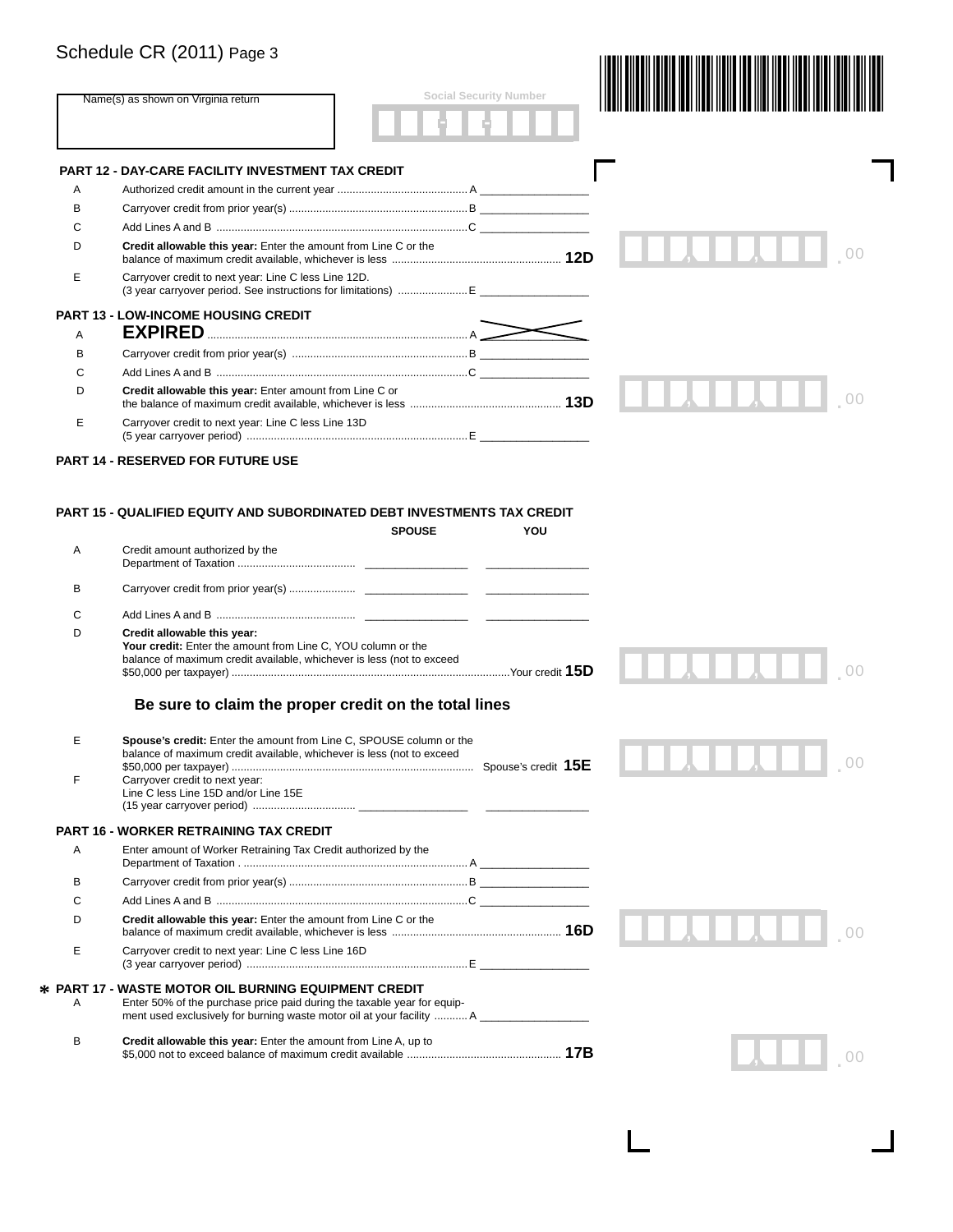|   | Name(s) as shown on Virginia return                                                                                                                                                                                         | <b>Social Security Number</b> |  |
|---|-----------------------------------------------------------------------------------------------------------------------------------------------------------------------------------------------------------------------------|-------------------------------|--|
|   | <b>PART 12 - DAY-CARE FACILITY INVESTMENT TAX CREDIT</b>                                                                                                                                                                    |                               |  |
| A |                                                                                                                                                                                                                             |                               |  |
| в |                                                                                                                                                                                                                             |                               |  |
| C |                                                                                                                                                                                                                             |                               |  |
| D | Credit allowable this year: Enter the amount from Line C or the                                                                                                                                                             |                               |  |
| Е | Carryover credit to next year: Line C less Line 12D.<br>(3 year carryover period. See instructions for limitations)  E                                                                                                      |                               |  |
|   | <b>PART 13 - LOW-INCOME HOUSING CREDIT</b>                                                                                                                                                                                  |                               |  |
| A |                                                                                                                                                                                                                             |                               |  |
| в |                                                                                                                                                                                                                             |                               |  |
| C |                                                                                                                                                                                                                             |                               |  |
| D | Credit allowable this year: Enter amount from Line C or                                                                                                                                                                     |                               |  |
| E | Carryover credit to next year: Line C less Line 13D                                                                                                                                                                         |                               |  |
|   | <b>PART 14 - RESERVED FOR FUTURE USE</b>                                                                                                                                                                                    |                               |  |
| В | Credit amount authorized by the                                                                                                                                                                                             |                               |  |
| C |                                                                                                                                                                                                                             |                               |  |
| D | Credit allowable this year:<br>Your credit: Enter the amount from Line C, YOU column or the<br>balance of maximum credit available, whichever is less (not to exceed                                                        |                               |  |
|   | Be sure to claim the proper credit on the total lines                                                                                                                                                                       |                               |  |
|   | Spouse's credit: Enter the amount from Line C, SPOUSE column or the<br>balance of maximum credit available, whichever is less (not to exceed<br>Carryover credit to next year:                                              |                               |  |
| F |                                                                                                                                                                                                                             |                               |  |
|   | Line C less Line 15D and/or Line 15E                                                                                                                                                                                        |                               |  |
|   | PART 16 - WORKER RETRAINING TAX CREDIT                                                                                                                                                                                      |                               |  |
| Α | Enter amount of Worker Retraining Tax Credit authorized by the                                                                                                                                                              |                               |  |
| в |                                                                                                                                                                                                                             |                               |  |
| С |                                                                                                                                                                                                                             |                               |  |
| D | Credit allowable this year: Enter the amount from Line C or the                                                                                                                                                             |                               |  |
| Е | Carryover credit to next year: Line C less Line 16D                                                                                                                                                                         |                               |  |
| Α | * PART 17 - WASTE MOTOR OIL BURNING EQUIPMENT CREDIT<br>Enter 50% of the purchase price paid during the taxable year for equip-<br>ment used exclusively for burning waste motor oil at your facility  A __________________ |                               |  |

 $\Box$ 

 $\mathbf{I}$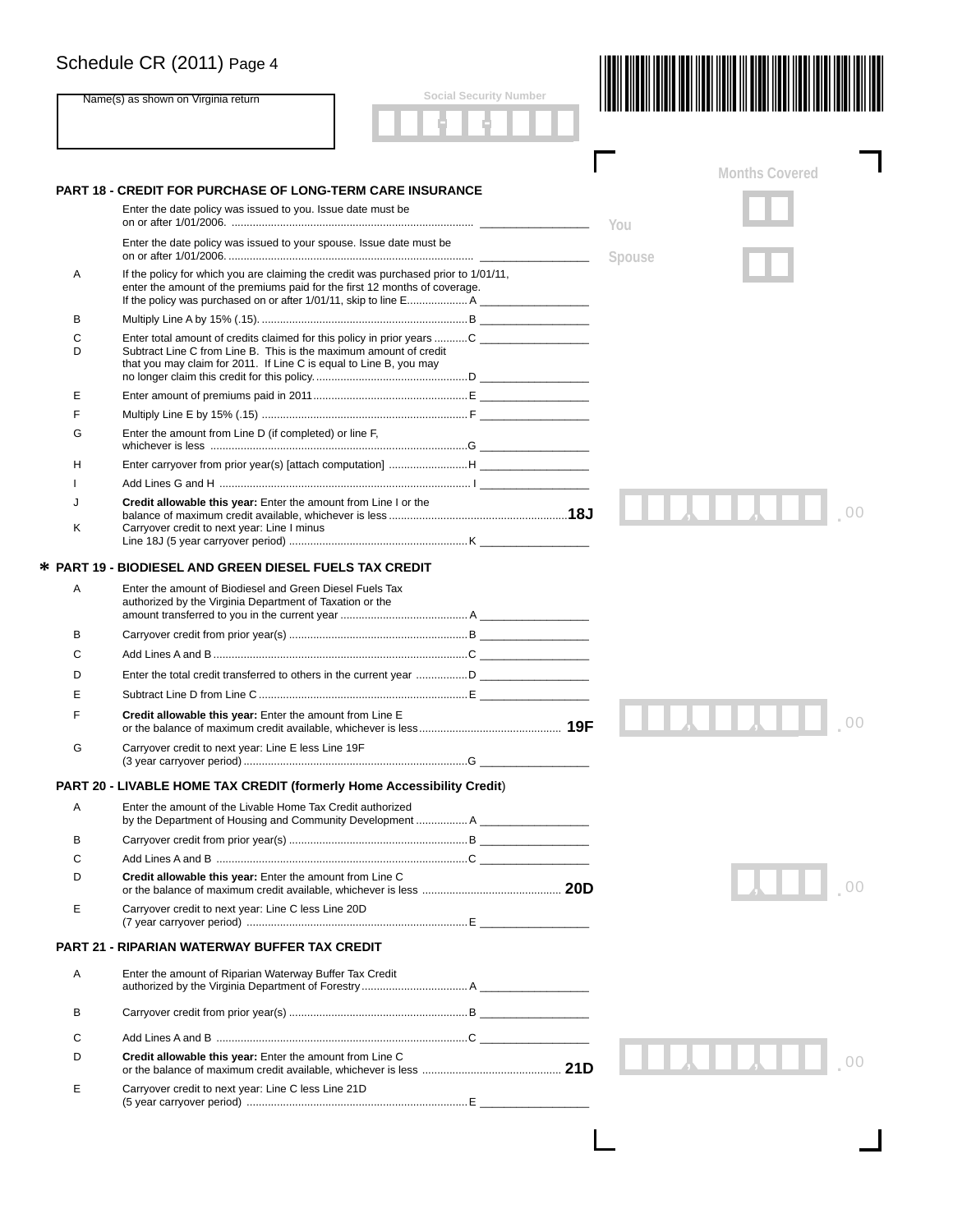|        | <b>Social Security Number</b>                                                                                                                                                                                      |        |                       |
|--------|--------------------------------------------------------------------------------------------------------------------------------------------------------------------------------------------------------------------|--------|-----------------------|
|        | Name(s) as shown on Virginia return                                                                                                                                                                                |        |                       |
|        |                                                                                                                                                                                                                    |        |                       |
|        | <b>PART 18 - CREDIT FOR PURCHASE OF LONG-TERM CARE INSURANCE</b>                                                                                                                                                   |        | <b>Months Covered</b> |
|        | Enter the date policy was issued to you. Issue date must be                                                                                                                                                        | You    |                       |
|        | Enter the date policy was issued to your spouse. Issue date must be                                                                                                                                                | Spouse |                       |
| Α      | If the policy for which you are claiming the credit was purchased prior to 1/01/11,<br>enter the amount of the premiums paid for the first 12 months of coverage.                                                  |        |                       |
| в      |                                                                                                                                                                                                                    |        |                       |
| C<br>D | Enter total amount of credits claimed for this policy in prior years  C<br>Subtract Line C from Line B. This is the maximum amount of credit<br>that you may claim for 2011. If Line C is equal to Line B, you may |        |                       |
| E      |                                                                                                                                                                                                                    |        |                       |
| F      |                                                                                                                                                                                                                    |        |                       |
| G      | Enter the amount from Line D (if completed) or line F,                                                                                                                                                             |        |                       |
| н      |                                                                                                                                                                                                                    |        |                       |
|        |                                                                                                                                                                                                                    |        |                       |
| J<br>Κ | Credit allowable this year: Enter the amount from Line I or the<br>Carryover credit to next year: Line I minus                                                                                                     |        |                       |
|        |                                                                                                                                                                                                                    |        |                       |
|        | <b>* PART 19 - BIODIESEL AND GREEN DIESEL FUELS TAX CREDIT</b>                                                                                                                                                     |        |                       |
| Α      | Enter the amount of Biodiesel and Green Diesel Fuels Tax<br>authorized by the Virginia Department of Taxation or the                                                                                               |        |                       |
| в      |                                                                                                                                                                                                                    |        |                       |
| C      |                                                                                                                                                                                                                    |        |                       |
| D      |                                                                                                                                                                                                                    |        |                       |
| Е      |                                                                                                                                                                                                                    |        |                       |
| F      | Credit allowable this year: Enter the amount from Line E                                                                                                                                                           |        |                       |
| G      | Carryover credit to next year: Line E less Line 19F                                                                                                                                                                |        |                       |
|        |                                                                                                                                                                                                                    |        |                       |
|        | PART 20 - LIVABLE HOME TAX CREDIT (formerly Home Accessibility Credit)                                                                                                                                             |        |                       |
| Α      | Enter the amount of the Livable Home Tax Credit authorized<br>by the Department of Housing and Community Development  A                                                                                            |        |                       |
| в      |                                                                                                                                                                                                                    |        |                       |
| C      |                                                                                                                                                                                                                    |        |                       |
| D      | Credit allowable this year: Enter the amount from Line C                                                                                                                                                           |        |                       |
| Е      | Carryover credit to next year: Line C less Line 20D                                                                                                                                                                |        |                       |
|        | <b>PART 21 - RIPARIAN WATERWAY BUFFER TAX CREDIT</b>                                                                                                                                                               |        |                       |
| A      | Enter the amount of Riparian Waterway Buffer Tax Credit                                                                                                                                                            |        |                       |
| в      |                                                                                                                                                                                                                    |        |                       |
| C      |                                                                                                                                                                                                                    |        |                       |
| D      | Credit allowable this year: Enter the amount from Line C                                                                                                                                                           |        |                       |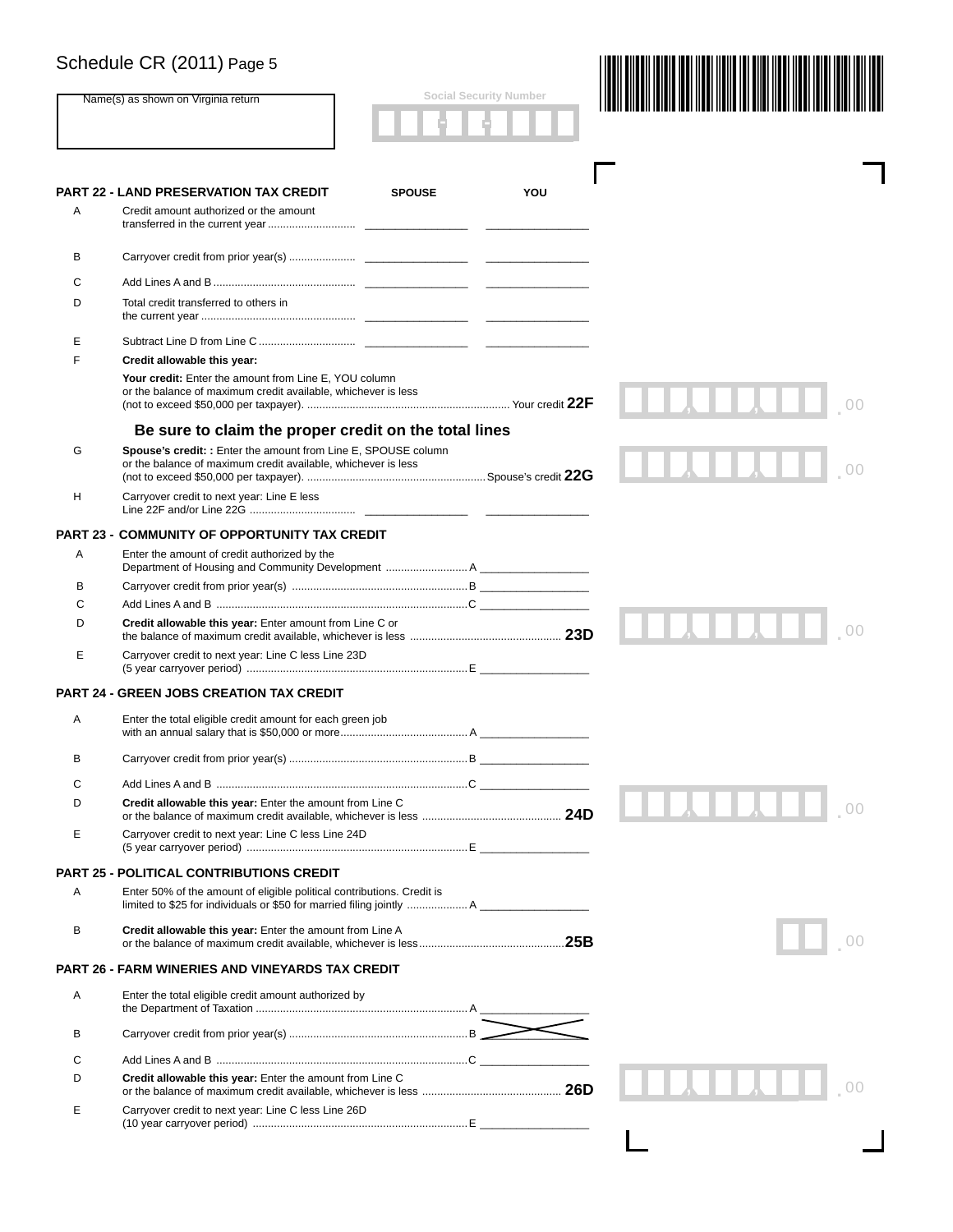|                  | Name(s) as shown on Virginia return                                                                                             |               | <b>Social Security Number</b> |  |
|------------------|---------------------------------------------------------------------------------------------------------------------------------|---------------|-------------------------------|--|
|                  | <b>PART 22 - LAND PRESERVATION TAX CREDIT</b>                                                                                   | <b>SPOUSE</b> | YOU                           |  |
| Α                | Credit amount authorized or the amount                                                                                          |               |                               |  |
| В                |                                                                                                                                 |               |                               |  |
| С                |                                                                                                                                 |               |                               |  |
| D                | Total credit transferred to others in                                                                                           |               |                               |  |
| Е                |                                                                                                                                 |               |                               |  |
| F                | Credit allowable this year:                                                                                                     |               |                               |  |
|                  | Your credit: Enter the amount from Line E, YOU column<br>or the balance of maximum credit available, whichever is less          |               |                               |  |
|                  | Be sure to claim the proper credit on the total lines                                                                           |               |                               |  |
| G                | Spouse's credit: : Enter the amount from Line E, SPOUSE column<br>or the balance of maximum credit available, whichever is less |               |                               |  |
| н                | Carryover credit to next year: Line E less                                                                                      |               |                               |  |
| <b>PART 23 -</b> | <b>COMMUNITY OF OPPORTUNITY TAX CREDIT</b>                                                                                      |               |                               |  |
| Α                | Enter the amount of credit authorized by the                                                                                    |               |                               |  |
| в                |                                                                                                                                 |               |                               |  |
| С                |                                                                                                                                 |               |                               |  |
| D                | Credit allowable this year: Enter amount from Line C or                                                                         |               |                               |  |
| Е                | Carryover credit to next year: Line C less Line 23D                                                                             |               |                               |  |
|                  | <b>PART 24 - GREEN JOBS CREATION TAX CREDIT</b>                                                                                 |               |                               |  |
| A                | Enter the total eligible credit amount for each green job                                                                       |               |                               |  |
| В                |                                                                                                                                 |               |                               |  |
| С                |                                                                                                                                 |               |                               |  |
| D                | Credit allowable this year: Enter the amount from Line C                                                                        |               |                               |  |
| Е                | Carryover credit to next year: Line C less Line 24D                                                                             |               |                               |  |
|                  | <b>PART 25 - POLITICAL CONTRIBUTIONS CREDIT</b>                                                                                 |               |                               |  |
| Α                | Enter 50% of the amount of eligible political contributions. Credit is                                                          |               |                               |  |
| в                | Credit allowable this year: Enter the amount from Line A                                                                        |               |                               |  |
|                  | <b>PART 26 - FARM WINERIES AND VINEYARDS TAX CREDIT</b>                                                                         |               |                               |  |
| Α                | Enter the total eligible credit amount authorized by                                                                            |               |                               |  |
| в                |                                                                                                                                 |               |                               |  |
| С                |                                                                                                                                 |               |                               |  |
| D                | Credit allowable this year: Enter the amount from Line C                                                                        |               |                               |  |
| Е                | Carryover credit to next year: Line C less Line 26D                                                                             |               |                               |  |
|                  |                                                                                                                                 |               |                               |  |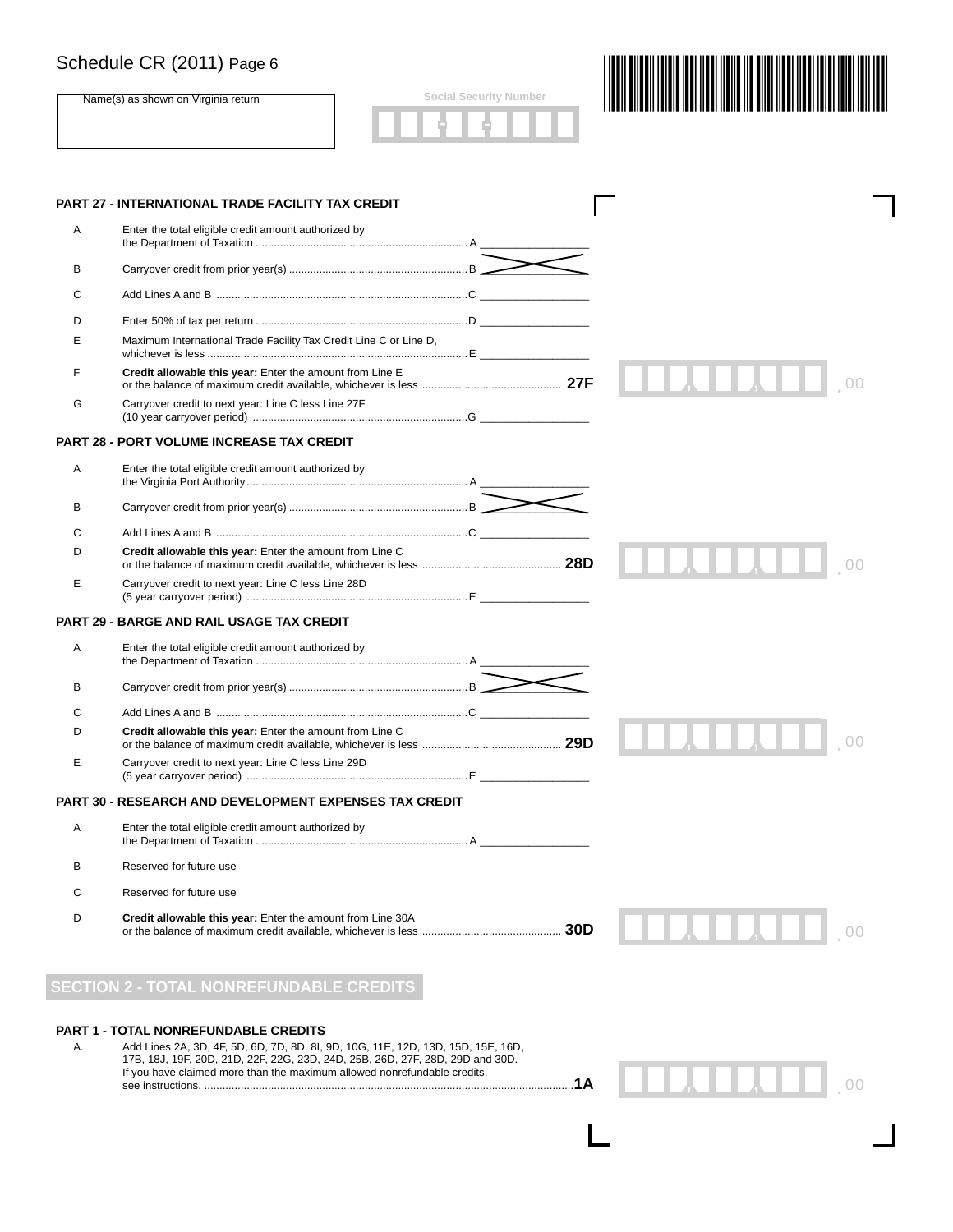|    | Schedule CR (2011) Page 6                                                                                                       |                               |    |
|----|---------------------------------------------------------------------------------------------------------------------------------|-------------------------------|----|
|    | Name(s) as shown on Virginia return                                                                                             | <b>Social Security Number</b> |    |
|    | PART 27 - INTERNATIONAL TRADE FACILITY TAX CREDIT                                                                               |                               |    |
| Α  | Enter the total eligible credit amount authorized by                                                                            |                               |    |
|    |                                                                                                                                 |                               |    |
| в  |                                                                                                                                 |                               |    |
| С  | Add Lines A and B …………………………………………………………………………………C                                                                              |                               |    |
| D  |                                                                                                                                 |                               |    |
| E  | Maximum International Trade Facility Tax Credit Line C or Line D,                                                               |                               |    |
| F  | Credit allowable this year: Enter the amount from Line E                                                                        |                               |    |
| G  | Carryover credit to next year: Line C less Line 27F                                                                             |                               |    |
|    | <b>PART 28 - PORT VOLUME INCREASE TAX CREDIT</b>                                                                                |                               |    |
| Α  | Enter the total eligible credit amount authorized by                                                                            |                               |    |
| В  |                                                                                                                                 |                               |    |
| С  |                                                                                                                                 |                               |    |
| D  | Credit allowable this year: Enter the amount from Line C                                                                        |                               |    |
| E  | Carryover credit to next year: Line C less Line 28D                                                                             |                               |    |
|    | PART 29 - BARGE AND RAIL USAGE TAX CREDIT                                                                                       |                               |    |
| Α  | Enter the total eligible credit amount authorized by                                                                            |                               |    |
| в  |                                                                                                                                 |                               |    |
| С  |                                                                                                                                 |                               |    |
| D  | Credit allowable this year: Enter the amount from Line C                                                                        |                               | 00 |
| Е  | Carryover credit to next year: Line C less Line 29D                                                                             |                               |    |
|    | <b>PART 30 - RESEARCH AND DEVELOPMENT EXPENSES TAX CREDIT</b>                                                                   |                               |    |
| Α  | Enter the total eligible credit amount authorized by                                                                            |                               |    |
| в  | Reserved for future use                                                                                                         |                               |    |
| С  | Reserved for future use                                                                                                         |                               |    |
| D  | Credit allowable this year: Enter the amount from Line 30A                                                                      |                               |    |
|    |                                                                                                                                 |                               |    |
|    | <b>SECTION 2 - TOTAL NONREFUNDABLE CREDITS</b>                                                                                  |                               |    |
| А. | <b>PART 1 - TOTAL NONREFUNDABLE CREDITS</b><br>Add Lines 2A, 3D, 4F, 5D, 6D, 7D, 8D, 8I, 9D, 10G, 11E, 12D, 13D, 15D, 15E, 16D, |                               |    |

 17B, 18J, 19F, 20D, 21D, 22F, 22G, 23D, 24D, 25B, 26D, 27F, 28D, 29D and 30D. If you have claimed more than the maximum allowed nonrefundable credits, see instructions. ..........................................................................................................................**1A**

<sup>00</sup> . , ,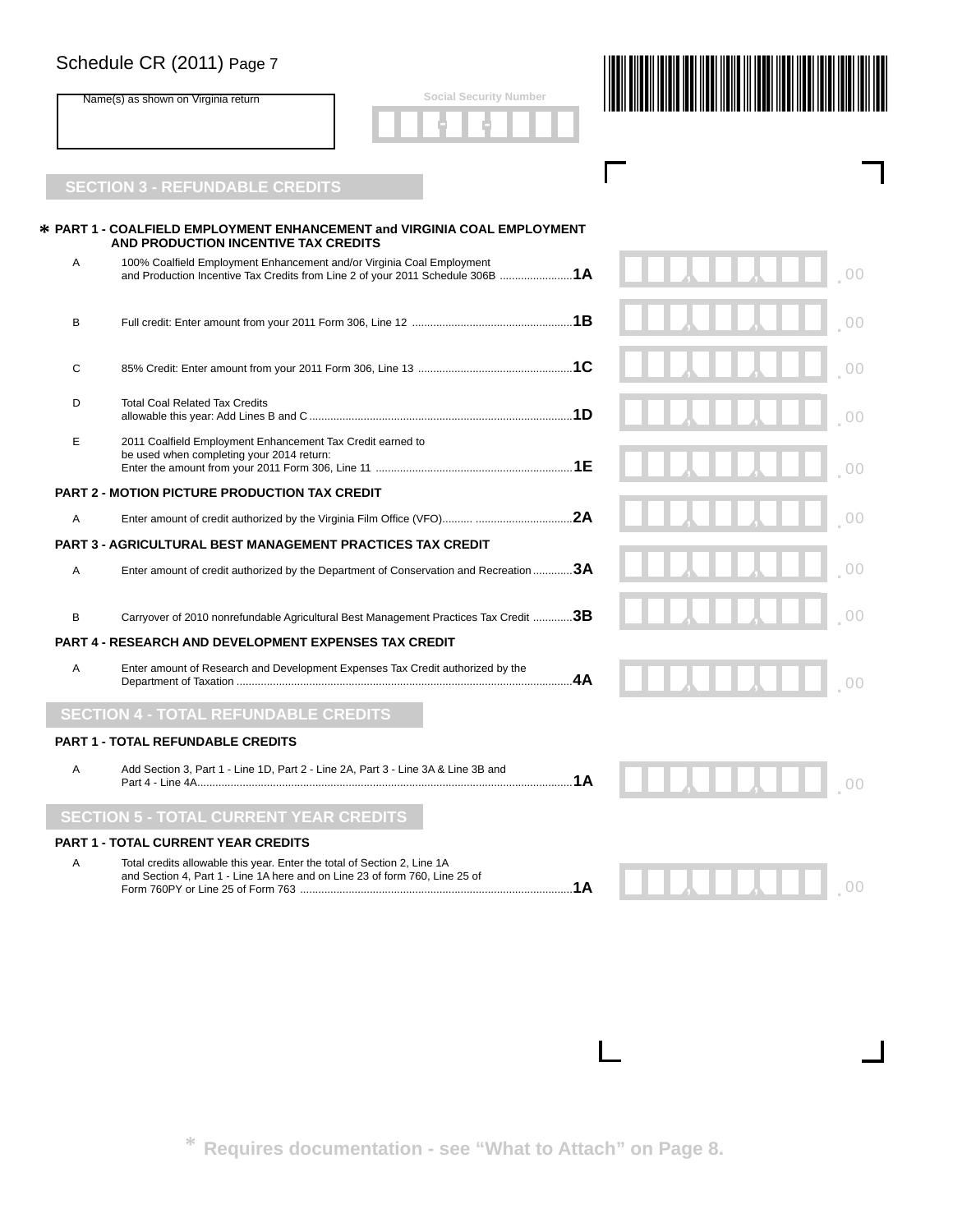| Schedule CR (2011) Page 7           |                                               |  |  |
|-------------------------------------|-----------------------------------------------|--|--|
| Name(s) as shown on Virginia return | <b>Social Security Number</b><br>O<br>O.<br>٠ |  |  |
|                                     |                                               |  |  |

I

# **SECTION 3 - REFUNDABLE CREDITS**

|   | * PART 1 - COALFIELD EMPLOYMENT ENHANCEMENT and VIRGINIA COAL EMPLOYMENT<br>AND PRODUCTION INCENTIVE TAX CREDITS                                        |    |                |
|---|---------------------------------------------------------------------------------------------------------------------------------------------------------|----|----------------|
| A | 100% Coalfield Employment Enhancement and/or Virginia Coal Employment<br>and Production Incentive Tax Credits from Line 2 of your 2011 Schedule 306B 1A |    |                |
| В |                                                                                                                                                         |    | 0 <sup>0</sup> |
| C |                                                                                                                                                         |    | 00             |
| D | <b>Total Coal Related Tax Credits</b>                                                                                                                   |    | 00             |
| E | 2011 Coalfield Employment Enhancement Tax Credit earned to<br>be used when completing your 2014 return:                                                 |    | 0 <sup>0</sup> |
|   | <b>PART 2 - MOTION PICTURE PRODUCTION TAX CREDIT</b>                                                                                                    |    |                |
| A |                                                                                                                                                         |    | 0 <sup>0</sup> |
|   | <b>PART 3 - AGRICULTURAL BEST MANAGEMENT PRACTICES TAX CREDIT</b>                                                                                       |    |                |
| A | Enter amount of credit authorized by the Department of Conservation and Recreation 3A                                                                   |    | 00             |
| B | Carryover of 2010 nonrefundable Agricultural Best Management Practices Tax Credit 3B                                                                    |    |                |
|   | <b>PART 4 - RESEARCH AND DEVELOPMENT EXPENSES TAX CREDIT</b>                                                                                            |    |                |
| Α | Enter amount of Research and Development Expenses Tax Credit authorized by the                                                                          | 4A |                |
|   | <b>SECTION 4 - TOTAL REFUNDABLE CREDITS</b>                                                                                                             |    |                |
|   | <b>PART 1 - TOTAL REFUNDABLE CREDITS</b>                                                                                                                |    |                |
| A | Add Section 3, Part 1 - Line 1D, Part 2 - Line 2A, Part 3 - Line 3A & Line 3B and                                                                       |    |                |
|   | <b>SECTION 5 - TOTAL CURRENT YEAR CREDITS</b>                                                                                                           |    |                |
|   | <b>PART 1 - TOTAL CURRENT YEAR CREDITS</b>                                                                                                              |    |                |
| A | Total credits allowable this year. Enter the total of Section 2, Line 1A<br>and Section 4, Part 1 - Line 1A here and on Line 23 of form 760, Line 25 of |    | 0 <sup>0</sup> |

**\* Requires documentation - see "What to Attach" on Page 8.**